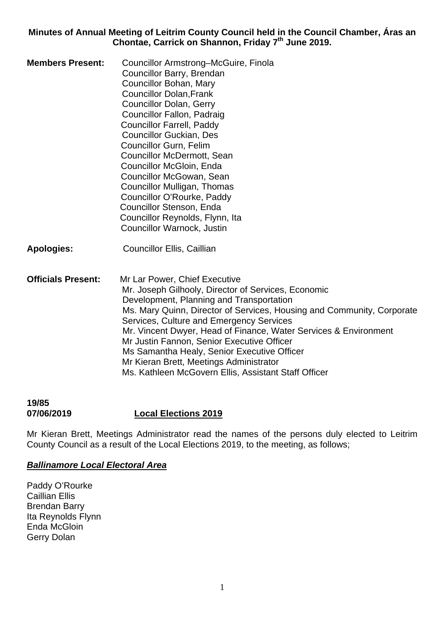**Minutes of Annual Meeting of Leitrim County Council held in the Council Chamber, Áras an Chontae, Carrick on Shannon, Friday 7th June 2019.** 

**Members Present:** Councillor Armstrong–McGuire, Finola Councillor Barry, Brendan Councillor Bohan, Mary Councillor Dolan,Frank Councillor Dolan, Gerry Councillor Fallon, Padraig Councillor Farrell, Paddy Councillor Guckian, Des Councillor Gurn, Felim Councillor McDermott, Sean Councillor McGloin, Enda Councillor McGowan, Sean Councillor Mulligan, Thomas Councillor O'Rourke, Paddy Councillor Stenson, Enda Councillor Reynolds, Flynn, Ita Councillor Warnock, Justin

**Apologies:** Councillor Ellis, Caillian

**Officials Present:** Mr Lar Power, Chief Executive Mr. Joseph Gilhooly, Director of Services, Economic Development, Planning and Transportation Ms. Mary Quinn, Director of Services, Housing and Community, Corporate Services, Culture and Emergency Services Mr. Vincent Dwyer, Head of Finance, Water Services & Environment Mr Justin Fannon, Senior Executive Officer Ms Samantha Healy, Senior Executive Officer Mr Kieran Brett, Meetings Administrator Ms. Kathleen McGovern Ellis, Assistant Staff Officer

### **19/85 07/06/2019 Local Elections 2019**

Mr Kieran Brett, Meetings Administrator read the names of the persons duly elected to Leitrim County Council as a result of the Local Elections 2019, to the meeting, as follows;

#### *Ballinamore Local Electoral Area*

Paddy O'Rourke Caillian Ellis Brendan Barry Ita Reynolds Flynn Enda McGloin Gerry Dolan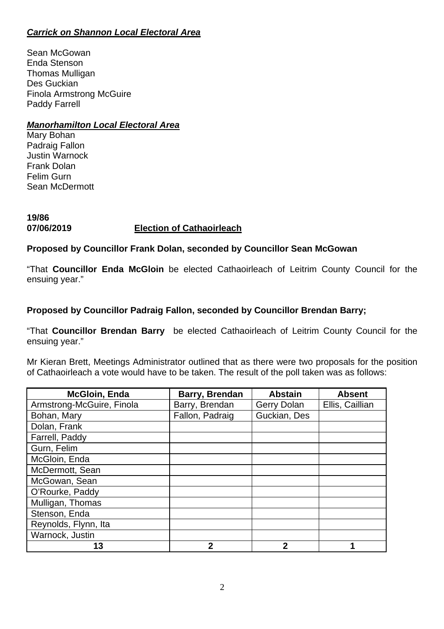## *Carrick on Shannon Local Electoral Area*

Sean McGowan Enda Stenson Thomas Mulligan Des Guckian Finola Armstrong McGuire Paddy Farrell

### *Manorhamilton Local Electoral Area*

Mary Bohan Padraig Fallon Justin Warnock Frank Dolan Felim Gurn Sean McDermott

### **19/86 07/06/2019 Election of Cathaoirleach**

### **Proposed by Councillor Frank Dolan, seconded by Councillor Sean McGowan**

"That **Councillor Enda McGloin** be elected Cathaoirleach of Leitrim County Council for the ensuing year."

### **Proposed by Councillor Padraig Fallon, seconded by Councillor Brendan Barry;**

"That **Councillor Brendan Barry** be elected Cathaoirleach of Leitrim County Council for the ensuing year."

Mr Kieran Brett, Meetings Administrator outlined that as there were two proposals for the position of Cathaoirleach a vote would have to be taken. The result of the poll taken was as follows:

| <b>McGloin, Enda</b>      | Barry, Brendan  | <b>Abstain</b> | <b>Absent</b>   |
|---------------------------|-----------------|----------------|-----------------|
| Armstrong-McGuire, Finola | Barry, Brendan  | Gerry Dolan    | Ellis, Caillian |
| Bohan, Mary               | Fallon, Padraig | Guckian, Des   |                 |
| Dolan, Frank              |                 |                |                 |
| Farrell, Paddy            |                 |                |                 |
| Gurn, Felim               |                 |                |                 |
| McGloin, Enda             |                 |                |                 |
| McDermott, Sean           |                 |                |                 |
| McGowan, Sean             |                 |                |                 |
| O'Rourke, Paddy           |                 |                |                 |
| Mulligan, Thomas          |                 |                |                 |
| Stenson, Enda             |                 |                |                 |
| Reynolds, Flynn, Ita      |                 |                |                 |
| Warnock, Justin           |                 |                |                 |
| 13                        | 2               | 2              |                 |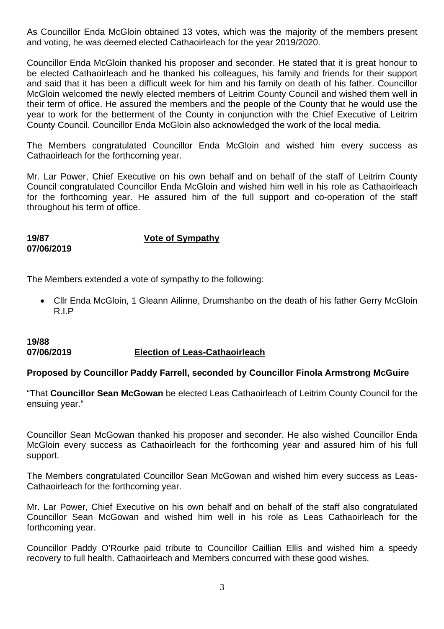As Councillor Enda McGloin obtained 13 votes, which was the majority of the members present and voting, he was deemed elected Cathaoirleach for the year 2019/2020.

Councillor Enda McGloin thanked his proposer and seconder. He stated that it is great honour to be elected Cathaoirleach and he thanked his colleagues, his family and friends for their support and said that it has been a difficult week for him and his family on death of his father. Councillor McGloin welcomed the newly elected members of Leitrim County Council and wished them well in their term of office. He assured the members and the people of the County that he would use the year to work for the betterment of the County in conjunction with the Chief Executive of Leitrim County Council. Councillor Enda McGloin also acknowledged the work of the local media.

The Members congratulated Councillor Enda McGloin and wished him every success as Cathaoirleach for the forthcoming year.

Mr. Lar Power, Chief Executive on his own behalf and on behalf of the staff of Leitrim County Council congratulated Councillor Enda McGloin and wished him well in his role as Cathaoirleach for the forthcoming year. He assured him of the full support and co-operation of the staff throughout his term of office.

**07/06/2019** 

**19/87 Vote of Sympathy**

The Members extended a vote of sympathy to the following:

• Cllr Enda McGloin, 1 Gleann Ailinne, Drumshanbo on the death of his father Gerry McGloin R.I.P

### **19/88 07/06/2019 Election of Leas-Cathaoirleach**

#### **Proposed by Councillor Paddy Farrell, seconded by Councillor Finola Armstrong McGuire**

"That **Councillor Sean McGowan** be elected Leas Cathaoirleach of Leitrim County Council for the ensuing year."

Councillor Sean McGowan thanked his proposer and seconder. He also wished Councillor Enda McGloin every success as Cathaoirleach for the forthcoming year and assured him of his full support.

The Members congratulated Councillor Sean McGowan and wished him every success as Leas-Cathaoirleach for the forthcoming year.

Mr. Lar Power, Chief Executive on his own behalf and on behalf of the staff also congratulated Councillor Sean McGowan and wished him well in his role as Leas Cathaoirleach for the forthcoming year.

Councillor Paddy O'Rourke paid tribute to Councillor Caillian Ellis and wished him a speedy recovery to full health. Cathaoirleach and Members concurred with these good wishes.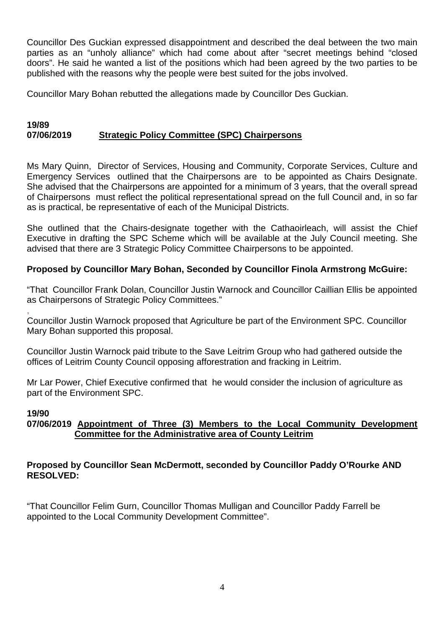Councillor Des Guckian expressed disappointment and described the deal between the two main parties as an "unholy alliance" which had come about after "secret meetings behind "closed doors". He said he wanted a list of the positions which had been agreed by the two parties to be published with the reasons why the people were best suited for the jobs involved.

Councillor Mary Bohan rebutted the allegations made by Councillor Des Guckian.

#### **19/89 07/06/2019 Strategic Policy Committee (SPC) Chairpersons**

Ms Mary Quinn, Director of Services, Housing and Community, Corporate Services, Culture and Emergency Services outlined that the Chairpersons are to be appointed as Chairs Designate. She advised that the Chairpersons are appointed for a minimum of 3 years, that the overall spread of Chairpersons must reflect the political representational spread on the full Council and, in so far as is practical, be representative of each of the Municipal Districts.

She outlined that the Chairs-designate together with the Cathaoirleach, will assist the Chief Executive in drafting the SPC Scheme which will be available at the July Council meeting. She advised that there are 3 Strategic Policy Committee Chairpersons to be appointed.

### **Proposed by Councillor Mary Bohan, Seconded by Councillor Finola Armstrong McGuire:**

"That Councillor Frank Dolan, Councillor Justin Warnock and Councillor Caillian Ellis be appointed as Chairpersons of Strategic Policy Committees."

, Councillor Justin Warnock proposed that Agriculture be part of the Environment SPC. Councillor Mary Bohan supported this proposal.

Councillor Justin Warnock paid tribute to the Save Leitrim Group who had gathered outside the offices of Leitrim County Council opposing afforestration and fracking in Leitrim.

Mr Lar Power, Chief Executive confirmed that he would consider the inclusion of agriculture as part of the Environment SPC.

#### **19/90**

### **07/06/2019 Appointment of Three (3) Members to the Local Community Development Committee for the Administrative area of County Leitrim**

### **Proposed by Councillor Sean McDermott, seconded by Councillor Paddy O'Rourke AND RESOLVED:**

"That Councillor Felim Gurn, Councillor Thomas Mulligan and Councillor Paddy Farrell be appointed to the Local Community Development Committee".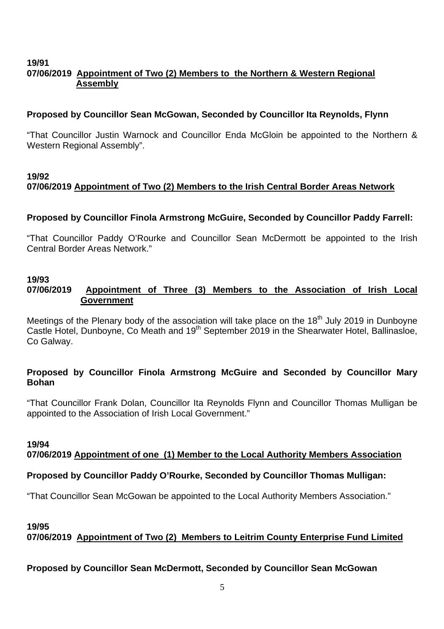#### **19/91 07/06/2019 Appointment of Two (2) Members to the Northern & Western Regional Assembly**

### **Proposed by Councillor Sean McGowan, Seconded by Councillor Ita Reynolds, Flynn**

"That Councillor Justin Warnock and Councillor Enda McGloin be appointed to the Northern & Western Regional Assembly".

### **19/92 07/06/2019 Appointment of Two (2) Members to the Irish Central Border Areas Network**

### **Proposed by Councillor Finola Armstrong McGuire, Seconded by Councillor Paddy Farrell:**

"That Councillor Paddy O'Rourke and Councillor Sean McDermott be appointed to the Irish Central Border Areas Network."

#### **19/93**

### **07/06/2019 Appointment of Three (3) Members to the Association of Irish Local Government**

Meetings of the Plenary body of the association will take place on the 18<sup>th</sup> July 2019 in Dunboyne Castle Hotel, Dunboyne, Co Meath and 19<sup>th</sup> September 2019 in the Shearwater Hotel, Ballinasloe, Co Galway.

### **Proposed by Councillor Finola Armstrong McGuire and Seconded by Councillor Mary Bohan**

"That Councillor Frank Dolan, Councillor Ita Reynolds Flynn and Councillor Thomas Mulligan be appointed to the Association of Irish Local Government."

#### **19/94 07/06/2019 Appointment of one (1) Member to the Local Authority Members Association**

### **Proposed by Councillor Paddy O'Rourke, Seconded by Councillor Thomas Mulligan:**

"That Councillor Sean McGowan be appointed to the Local Authority Members Association."

### **19/95 07/06/2019 Appointment of Two (2) Members to Leitrim County Enterprise Fund Limited**

### **Proposed by Councillor Sean McDermott, Seconded by Councillor Sean McGowan**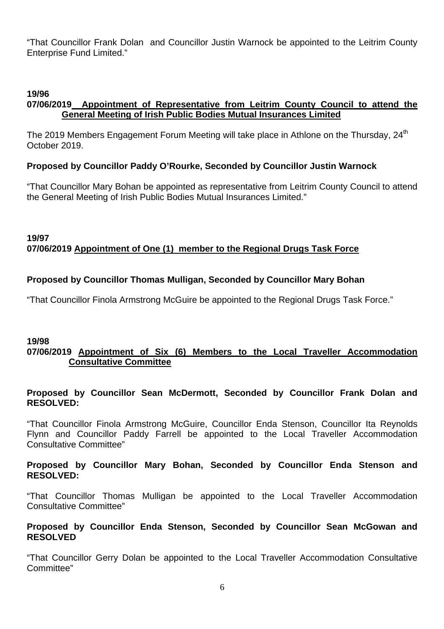"That Councillor Frank Dolan and Councillor Justin Warnock be appointed to the Leitrim County Enterprise Fund Limited."

### **19/96**

### **07/06/2019 Appointment of Representative from Leitrim County Council to attend the General Meeting of Irish Public Bodies Mutual Insurances Limited**

The 2019 Members Engagement Forum Meeting will take place in Athlone on the Thursday, 24<sup>th</sup> October 2019.

### **Proposed by Councillor Paddy O'Rourke, Seconded by Councillor Justin Warnock**

"That Councillor Mary Bohan be appointed as representative from Leitrim County Council to attend the General Meeting of Irish Public Bodies Mutual Insurances Limited."

### **19/97 07/06/2019 Appointment of One (1) member to the Regional Drugs Task Force**

### **Proposed by Councillor Thomas Mulligan, Seconded by Councillor Mary Bohan**

"That Councillor Finola Armstrong McGuire be appointed to the Regional Drugs Task Force."

### **19/98**

### **07/06/2019 Appointment of Six (6) Members to the Local Traveller Accommodation Consultative Committee**

#### **Proposed by Councillor Sean McDermott, Seconded by Councillor Frank Dolan and RESOLVED:**

"That Councillor Finola Armstrong McGuire, Councillor Enda Stenson, Councillor Ita Reynolds Flynn and Councillor Paddy Farrell be appointed to the Local Traveller Accommodation Consultative Committee"

#### **Proposed by Councillor Mary Bohan, Seconded by Councillor Enda Stenson and RESOLVED:**

"That Councillor Thomas Mulligan be appointed to the Local Traveller Accommodation Consultative Committee"

#### **Proposed by Councillor Enda Stenson, Seconded by Councillor Sean McGowan and RESOLVED**

"That Councillor Gerry Dolan be appointed to the Local Traveller Accommodation Consultative Committee"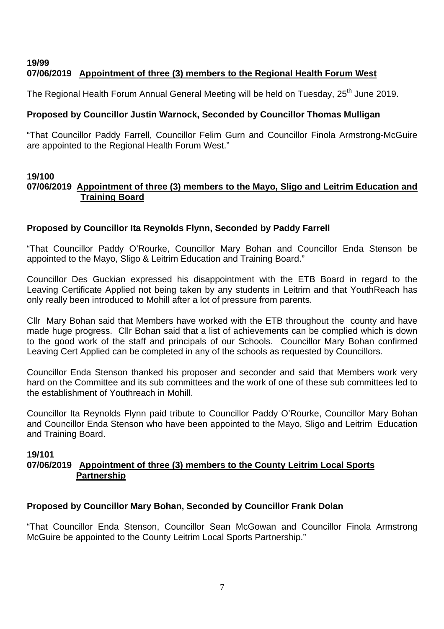## **19/99 07/06/2019 Appointment of three (3) members to the Regional Health Forum West**

The Regional Health Forum Annual General Meeting will be held on Tuesday, 25<sup>th</sup> June 2019.

# **Proposed by Councillor Justin Warnock, Seconded by Councillor Thomas Mulligan**

"That Councillor Paddy Farrell, Councillor Felim Gurn and Councillor Finola Armstrong-McGuire are appointed to the Regional Health Forum West."

#### **19/100 07/06/2019 Appointment of three (3) members to the Mayo, Sligo and Leitrim Education and Training Board**

# **Proposed by Councillor Ita Reynolds Flynn, Seconded by Paddy Farrell**

"That Councillor Paddy O'Rourke, Councillor Mary Bohan and Councillor Enda Stenson be appointed to the Mayo, Sligo & Leitrim Education and Training Board."

Councillor Des Guckian expressed his disappointment with the ETB Board in regard to the Leaving Certificate Applied not being taken by any students in Leitrim and that YouthReach has only really been introduced to Mohill after a lot of pressure from parents.

Cllr Mary Bohan said that Members have worked with the ETB throughout the county and have made huge progress. Cllr Bohan said that a list of achievements can be complied which is down to the good work of the staff and principals of our Schools. Councillor Mary Bohan confirmed Leaving Cert Applied can be completed in any of the schools as requested by Councillors.

Councillor Enda Stenson thanked his proposer and seconder and said that Members work very hard on the Committee and its sub committees and the work of one of these sub committees led to the establishment of Youthreach in Mohill.

Councillor Ita Reynolds Flynn paid tribute to Councillor Paddy O'Rourke, Councillor Mary Bohan and Councillor Enda Stenson who have been appointed to the Mayo, Sligo and Leitrim Education and Training Board.

### **19/101**

### **07/06/2019 Appointment of three (3) members to the County Leitrim Local Sports Partnership**

### **Proposed by Councillor Mary Bohan, Seconded by Councillor Frank Dolan**

"That Councillor Enda Stenson, Councillor Sean McGowan and Councillor Finola Armstrong McGuire be appointed to the County Leitrim Local Sports Partnership."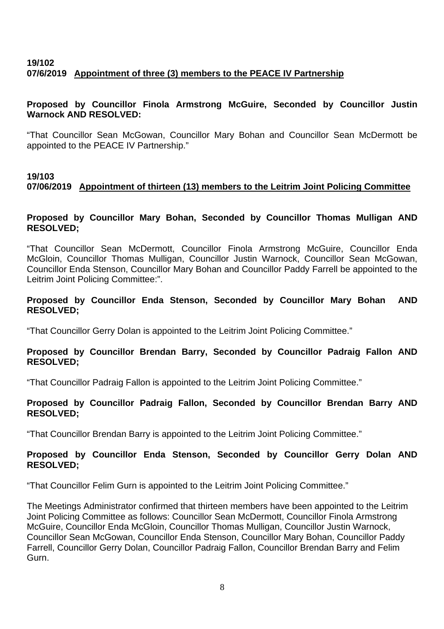# **19/102 07/6/2019 Appointment of three (3) members to the PEACE IV Partnership**

#### **Proposed by Councillor Finola Armstrong McGuire, Seconded by Councillor Justin Warnock AND RESOLVED:**

"That Councillor Sean McGowan, Councillor Mary Bohan and Councillor Sean McDermott be appointed to the PEACE IV Partnership."

### **19/103 07/06/2019 Appointment of thirteen (13) members to the Leitrim Joint Policing Committee**

### **Proposed by Councillor Mary Bohan, Seconded by Councillor Thomas Mulligan AND RESOLVED;**

"That Councillor Sean McDermott, Councillor Finola Armstrong McGuire, Councillor Enda McGloin, Councillor Thomas Mulligan, Councillor Justin Warnock, Councillor Sean McGowan, Councillor Enda Stenson, Councillor Mary Bohan and Councillor Paddy Farrell be appointed to the Leitrim Joint Policing Committee:".

### **Proposed by Councillor Enda Stenson, Seconded by Councillor Mary Bohan AND RESOLVED;**

"That Councillor Gerry Dolan is appointed to the Leitrim Joint Policing Committee."

### **Proposed by Councillor Brendan Barry, Seconded by Councillor Padraig Fallon AND RESOLVED;**

"That Councillor Padraig Fallon is appointed to the Leitrim Joint Policing Committee."

### **Proposed by Councillor Padraig Fallon, Seconded by Councillor Brendan Barry AND RESOLVED;**

"That Councillor Brendan Barry is appointed to the Leitrim Joint Policing Committee."

### **Proposed by Councillor Enda Stenson, Seconded by Councillor Gerry Dolan AND RESOLVED;**

"That Councillor Felim Gurn is appointed to the Leitrim Joint Policing Committee."

The Meetings Administrator confirmed that thirteen members have been appointed to the Leitrim Joint Policing Committee as follows: Councillor Sean McDermott, Councillor Finola Armstrong McGuire, Councillor Enda McGloin, Councillor Thomas Mulligan, Councillor Justin Warnock, Councillor Sean McGowan, Councillor Enda Stenson, Councillor Mary Bohan, Councillor Paddy Farrell, Councillor Gerry Dolan, Councillor Padraig Fallon, Councillor Brendan Barry and Felim Gurn.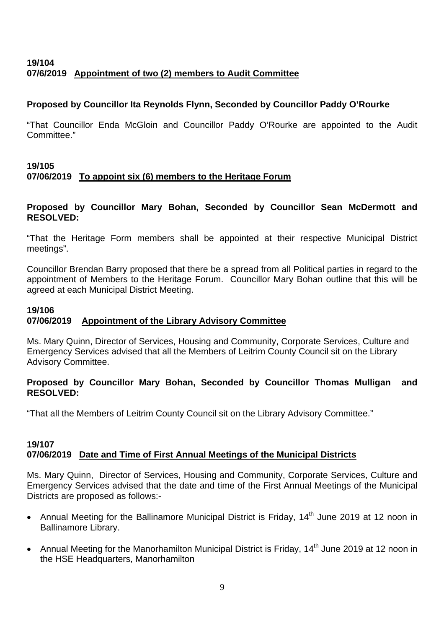# **19/104 07/6/2019 Appointment of two (2) members to Audit Committee**

## **Proposed by Councillor Ita Reynolds Flynn, Seconded by Councillor Paddy O'Rourke**

"That Councillor Enda McGloin and Councillor Paddy O'Rourke are appointed to the Audit Committee."

## **19/105 07/06/2019 To appoint six (6) members to the Heritage Forum**

#### **Proposed by Councillor Mary Bohan, Seconded by Councillor Sean McDermott and RESOLVED:**

"That the Heritage Form members shall be appointed at their respective Municipal District meetings".

Councillor Brendan Barry proposed that there be a spread from all Political parties in regard to the appointment of Members to the Heritage Forum. Councillor Mary Bohan outline that this will be agreed at each Municipal District Meeting.

### **19/106 07/06/2019 Appointment of the Library Advisory Committee**

Ms. Mary Quinn, Director of Services, Housing and Community, Corporate Services, Culture and Emergency Services advised that all the Members of Leitrim County Council sit on the Library Advisory Committee.

### **Proposed by Councillor Mary Bohan, Seconded by Councillor Thomas Mulligan and RESOLVED:**

"That all the Members of Leitrim County Council sit on the Library Advisory Committee."

#### **19/107 07/06/2019 Date and Time of First Annual Meetings of the Municipal Districts**

Ms. Mary Quinn, Director of Services, Housing and Community, Corporate Services, Culture and Emergency Services advised that the date and time of the First Annual Meetings of the Municipal Districts are proposed as follows:-

- Annual Meeting for the Ballinamore Municipal District is Friday, 14<sup>th</sup> June 2019 at 12 noon in Ballinamore Library.
- Annual Meeting for the Manorhamilton Municipal District is Friday, 14<sup>th</sup> June 2019 at 12 noon in the HSE Headquarters, Manorhamilton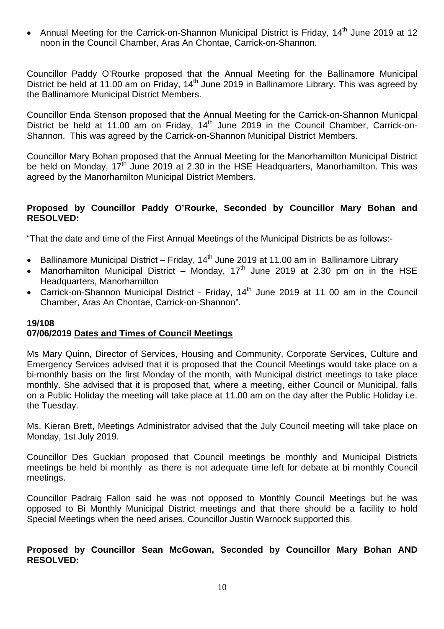Annual Meeting for the Carrick-on-Shannon Municipal District is Friday, 14<sup>th</sup> June 2019 at 12 noon in the Council Chamber, Aras An Chontae, Carrick-on-Shannon.

Councillor Paddy O'Rourke proposed that the Annual Meeting for the Ballinamore Municipal District be held at 11.00 am on Friday, 14<sup>th</sup> June 2019 in Ballinamore Library. This was agreed by the Ballinamore Municipal District Members.

Councillor Enda Stenson proposed that the Annual Meeting for the Carrick-on-Shannon Municpal District be held at 11.00 am on Friday,  $14<sup>th</sup>$  June 2019 in the Council Chamber, Carrick-on-Shannon. This was agreed by the Carrick-on-Shannon Municipal District Members.

Councillor Mary Bohan proposed that the Annual Meeting for the Manorhamilton Municipal District be held on Monday,  $17<sup>th</sup>$  June 2019 at 2.30 in the HSE Headquarters, Manorhamilton. This was agreed by the Manorhamilton Municipal District Members.

#### **Proposed by Councillor Paddy O'Rourke, Seconded by Councillor Mary Bohan and RESOLVED:**

"That the date and time of the First Annual Meetings of the Municipal Districts be as follows:-

- Ballinamore Municipal District Friday,  $14<sup>th</sup>$  June 2019 at 11.00 am in Ballinamore Library
- Manorhamilton Municipal District Monday,  $17<sup>th</sup>$  June 2019 at 2.30 pm on in the HSE Headquarters, Manorhamilton
- Carrick-on-Shannon Municipal District Friday, 14<sup>th</sup> June 2019 at 11 00 am in the Council Chamber, Aras An Chontae, Carrick-on-Shannon".

# **19/108**

### **07/06/2019 Dates and Times of Council Meetings**

Ms Mary Quinn, Director of Services, Housing and Community, Corporate Services, Culture and Emergency Services advised that it is proposed that the Council Meetings would take place on a bi-monthly basis on the first Monday of the month, with Municipal district meetings to take place monthly. She advised that it is proposed that, where a meeting, either Council or Municipal, falls on a Public Holiday the meeting will take place at 11.00 am on the day after the Public Holiday i.e. the Tuesday.

Ms. Kieran Brett, Meetings Administrator advised that the July Council meeting will take place on Monday, 1st July 2019.

Councillor Des Guckian proposed that Council meetings be monthly and Municipal Districts meetings be held bi monthly as there is not adequate time left for debate at bi monthly Council meetings.

Councillor Padraig Fallon said he was not opposed to Monthly Council Meetings but he was opposed to Bi Monthly Municipal District meetings and that there should be a facility to hold Special Meetings when the need arises. Councillor Justin Warnock supported this.

#### **Proposed by Councillor Sean McGowan, Seconded by Councillor Mary Bohan AND RESOLVED:**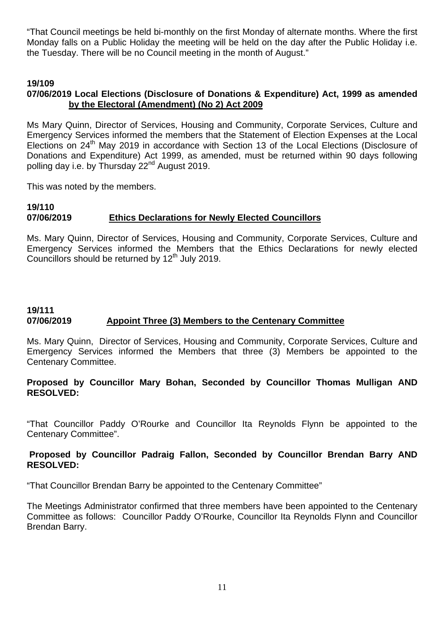"That Council meetings be held bi-monthly on the first Monday of alternate months. Where the first Monday falls on a Public Holiday the meeting will be held on the day after the Public Holiday i.e. the Tuesday. There will be no Council meeting in the month of August."

### **19/109**

### **07/06/2019 Local Elections (Disclosure of Donations & Expenditure) Act, 1999 as amended by the Electoral (Amendment) (No 2) Act 2009**

Ms Mary Quinn, Director of Services, Housing and Community, Corporate Services, Culture and Emergency Services informed the members that the Statement of Election Expenses at the Local Elections on 24<sup>th</sup> May 2019 in accordance with Section 13 of the Local Elections (Disclosure of Donations and Expenditure) Act 1999, as amended, must be returned within 90 days following polling day i.e. by Thursday 22<sup>nd</sup> August 2019.

This was noted by the members.

#### **19/110 07/06/2019 Ethics Declarations for Newly Elected Councillors**

Ms. Mary Quinn, Director of Services, Housing and Community, Corporate Services, Culture and Emergency Services informed the Members that the Ethics Declarations for newly elected Councillors should be returned by 12<sup>th</sup> July 2019.

### **19/111 07/06/2019 Appoint Three (3) Members to the Centenary Committee**

Ms. Mary Quinn, Director of Services, Housing and Community, Corporate Services, Culture and Emergency Services informed the Members that three (3) Members be appointed to the Centenary Committee.

#### **Proposed by Councillor Mary Bohan, Seconded by Councillor Thomas Mulligan AND RESOLVED:**

"That Councillor Paddy O'Rourke and Councillor Ita Reynolds Flynn be appointed to the Centenary Committee".

#### **Proposed by Councillor Padraig Fallon, Seconded by Councillor Brendan Barry AND RESOLVED:**

"That Councillor Brendan Barry be appointed to the Centenary Committee"

The Meetings Administrator confirmed that three members have been appointed to the Centenary Committee as follows: Councillor Paddy O'Rourke, Councillor Ita Reynolds Flynn and Councillor Brendan Barry.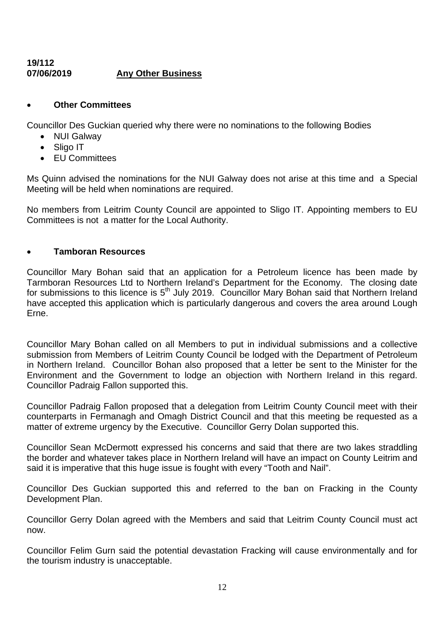#### **19/112 07/06/2019 Any Other Business**

### • **Other Committees**

Councillor Des Guckian queried why there were no nominations to the following Bodies

- NUI Galway
- Sligo IT
- EU Committees

Ms Quinn advised the nominations for the NUI Galway does not arise at this time and a Special Meeting will be held when nominations are required.

No members from Leitrim County Council are appointed to Sligo IT. Appointing members to EU Committees is not a matter for the Local Authority.

### • **Tamboran Resources**

Councillor Mary Bohan said that an application for a Petroleum licence has been made by Tarmboran Resources Ltd to Northern Ireland's Department for the Economy. The closing date for submissions to this licence is 5<sup>th</sup> July 2019. Councillor Mary Bohan said that Northern Ireland have accepted this application which is particularly dangerous and covers the area around Lough Erne.

Councillor Mary Bohan called on all Members to put in individual submissions and a collective submission from Members of Leitrim County Council be lodged with the Department of Petroleum in Northern Ireland. Councillor Bohan also proposed that a letter be sent to the Minister for the Environment and the Government to lodge an objection with Northern Ireland in this regard. Councillor Padraig Fallon supported this.

Councillor Padraig Fallon proposed that a delegation from Leitrim County Council meet with their counterparts in Fermanagh and Omagh District Council and that this meeting be requested as a matter of extreme urgency by the Executive. Councillor Gerry Dolan supported this.

Councillor Sean McDermott expressed his concerns and said that there are two lakes straddling the border and whatever takes place in Northern Ireland will have an impact on County Leitrim and said it is imperative that this huge issue is fought with every "Tooth and Nail".

Councillor Des Guckian supported this and referred to the ban on Fracking in the County Development Plan.

Councillor Gerry Dolan agreed with the Members and said that Leitrim County Council must act now.

Councillor Felim Gurn said the potential devastation Fracking will cause environmentally and for the tourism industry is unacceptable.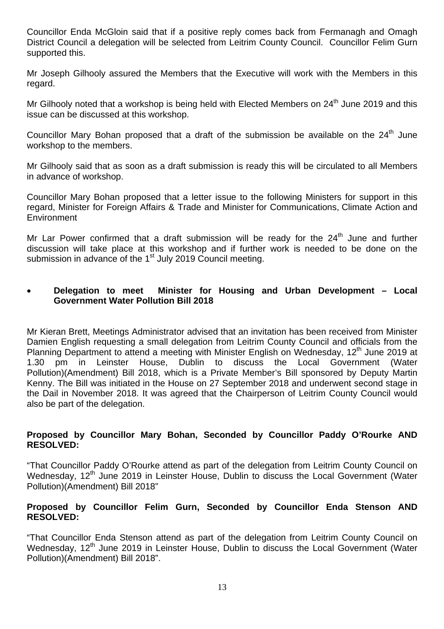Councillor Enda McGloin said that if a positive reply comes back from Fermanagh and Omagh District Council a delegation will be selected from Leitrim County Council. Councillor Felim Gurn supported this.

Mr Joseph Gilhooly assured the Members that the Executive will work with the Members in this regard.

Mr Gilhooly noted that a workshop is being held with Elected Members on 24<sup>th</sup> June 2019 and this issue can be discussed at this workshop.

Councillor Mary Bohan proposed that a draft of the submission be available on the  $24<sup>th</sup>$  June workshop to the members.

Mr Gilhooly said that as soon as a draft submission is ready this will be circulated to all Members in advance of workshop.

Councillor Mary Bohan proposed that a letter issue to the following Ministers for support in this regard, Minister for Foreign Affairs & Trade and Minister for Communications, Climate Action and **Environment** 

Mr Lar Power confirmed that a draft submission will be ready for the  $24<sup>th</sup>$  June and further discussion will take place at this workshop and if further work is needed to be done on the submission in advance of the 1<sup>st</sup> July 2019 Council meeting.

#### • **Delegation to meet Minister for Housing and Urban Development – Local Government Water Pollution Bill 2018**

Mr Kieran Brett, Meetings Administrator advised that an invitation has been received from Minister Damien English requesting a small delegation from Leitrim County Council and officials from the Planning Department to attend a meeting with Minister English on Wednesday,  $12<sup>th</sup>$  June 2019 at 1.30 pm in Leinster House, Dublin to discuss the Local Government (Water Pollution)(Amendment) Bill 2018, which is a Private Member's Bill sponsored by Deputy Martin Kenny. The Bill was initiated in the House on 27 September 2018 and underwent second stage in the Dail in November 2018. It was agreed that the Chairperson of Leitrim County Council would also be part of the delegation.

#### **Proposed by Councillor Mary Bohan, Seconded by Councillor Paddy O'Rourke AND RESOLVED:**

"That Councillor Paddy O'Rourke attend as part of the delegation from Leitrim County Council on Wednesday, 12<sup>th</sup> June 2019 in Leinster House, Dublin to discuss the Local Government (Water Pollution)(Amendment) Bill 2018"

#### **Proposed by Councillor Felim Gurn, Seconded by Councillor Enda Stenson AND RESOLVED:**

"That Councillor Enda Stenson attend as part of the delegation from Leitrim County Council on Wednesday, 12<sup>th</sup> June 2019 in Leinster House, Dublin to discuss the Local Government (Water Pollution)(Amendment) Bill 2018".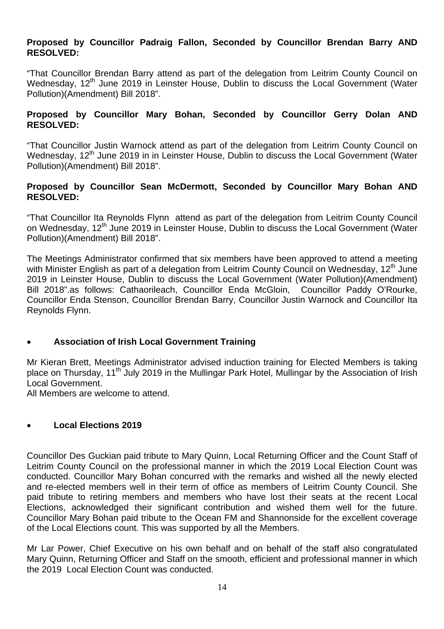#### **Proposed by Councillor Padraig Fallon, Seconded by Councillor Brendan Barry AND RESOLVED:**

"That Councillor Brendan Barry attend as part of the delegation from Leitrim County Council on Wednesday, 12<sup>th</sup> June 2019 in Leinster House, Dublin to discuss the Local Government (Water Pollution)(Amendment) Bill 2018".

### **Proposed by Councillor Mary Bohan, Seconded by Councillor Gerry Dolan AND RESOLVED:**

"That Councillor Justin Warnock attend as part of the delegation from Leitrim County Council on Wednesday, 12<sup>th</sup> June 2019 in in Leinster House, Dublin to discuss the Local Government (Water Pollution)(Amendment) Bill 2018".

### **Proposed by Councillor Sean McDermott, Seconded by Councillor Mary Bohan AND RESOLVED:**

"That Councillor Ita Reynolds Flynn attend as part of the delegation from Leitrim County Council on Wednesday, 12<sup>th</sup> June 2019 in Leinster House, Dublin to discuss the Local Government (Water Pollution)(Amendment) Bill 2018".

The Meetings Administrator confirmed that six members have been approved to attend a meeting with Minister English as part of a delegation from Leitrim County Council on Wednesday, 12<sup>th</sup> June 2019 in Leinster House, Dublin to discuss the Local Government (Water Pollution)(Amendment) Bill 2018".as follows: Cathaorileach, Councillor Enda McGloin, Councillor Paddy O'Rourke, Councillor Enda Stenson, Councillor Brendan Barry, Councillor Justin Warnock and Councillor Ita Reynolds Flynn.

### • **Association of Irish Local Government Training**

Mr Kieran Brett, Meetings Administrator advised induction training for Elected Members is taking place on Thursday, 11<sup>th</sup> July 2019 in the Mullingar Park Hotel, Mullingar by the Association of Irish Local Government.

All Members are welcome to attend.

### • **Local Elections 2019**

Councillor Des Guckian paid tribute to Mary Quinn, Local Returning Officer and the Count Staff of Leitrim County Council on the professional manner in which the 2019 Local Election Count was conducted. Councillor Mary Bohan concurred with the remarks and wished all the newly elected and re-elected members well in their term of office as members of Leitrim County Council. She paid tribute to retiring members and members who have lost their seats at the recent Local Elections, acknowledged their significant contribution and wished them well for the future. Councillor Mary Bohan paid tribute to the Ocean FM and Shannonside for the excellent coverage of the Local Elections count. This was supported by all the Members.

Mr Lar Power, Chief Executive on his own behalf and on behalf of the staff also congratulated Mary Quinn, Returning Officer and Staff on the smooth, efficient and professional manner in which the 2019 Local Election Count was conducted.